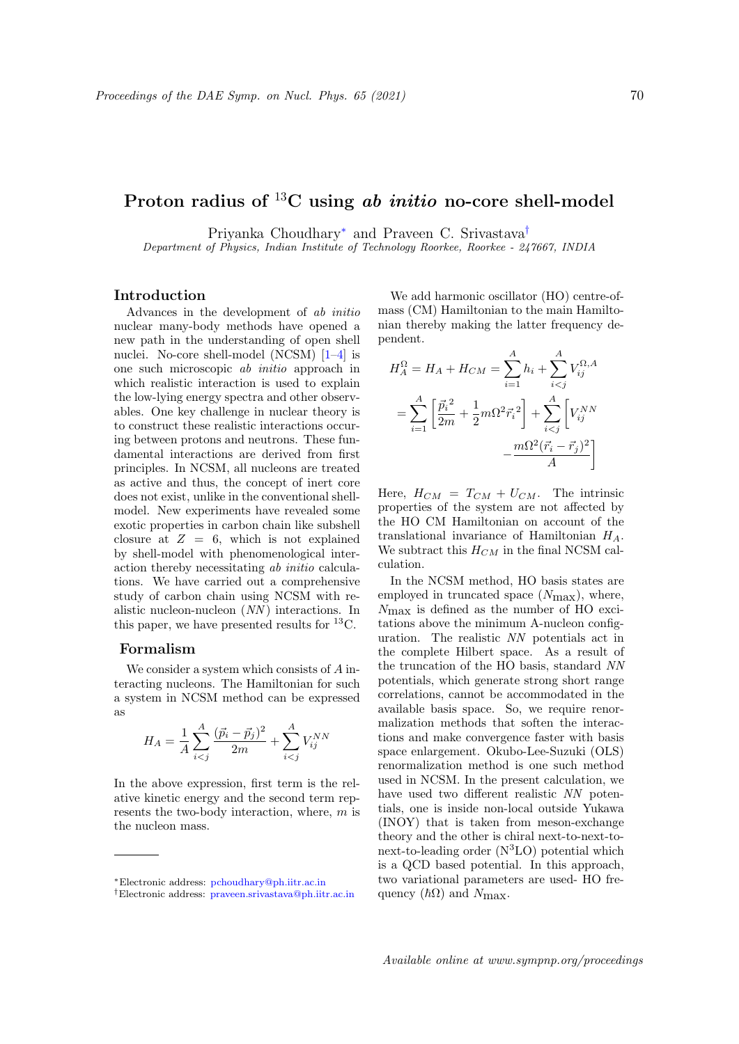# Proton radius of  ${}^{13}C$  using ab *initio* no-core shell-model

Priyanka Choudhary<sup>∗</sup> and Praveen C. Srivastava†

Department of Physics, Indian Institute of Technology Roorkee, Roorkee - 247667, INDIA

### Introduction

Advances in the development of ab initio nuclear many-body methods have opened a new path in the understanding of open shell nuclei. No-core shell-model (NCSM) [1–4] is one such microscopic ab initio approach in which realistic interaction is used to explain the low-lying energy spectra and other observables. One key challenge in nuclear theory is to construct these realistic interactions occuring between protons and neutrons. These fundamental interactions are derived from first principles. In NCSM, all nucleons are treated as active and thus, the concept of inert core does not exist, unlike in the conventional shellmodel. New experiments have revealed some exotic properties in carbon chain like subshell closure at  $Z = 6$ , which is not explained by shell-model with phenomenological interaction thereby necessitating ab initio calculations. We have carried out a comprehensive study of carbon chain using NCSM with realistic nucleon-nucleon (NN ) interactions. In this paper, we have presented results for <sup>13</sup>C.

## Formalism

We consider a system which consists of A interacting nucleons. The Hamiltonian for such a system in NCSM method can be expressed as

$$
H_A = \frac{1}{A} \sum_{i < j}^{A} \frac{(\vec{p}_i - \vec{p}_j)^2}{2m} + \sum_{i < j}^{A} V_{ij}^{NN}
$$

In the above expression, first term is the relative kinetic energy and the second term represents the two-body interaction, where, m is the nucleon mass.

We add harmonic oscillator (HO) centre-ofmass (CM) Hamiltonian to the main Hamiltonian thereby making the latter frequency dependent.

$$
H_A^{\Omega} = H_A + H_{CM} = \sum_{i=1}^{A} h_i + \sum_{i < j}^{A} V_{ij}^{\Omega, A}
$$
\n
$$
= \sum_{i=1}^{A} \left[ \frac{\vec{p}_i^{\Omega}}{2m} + \frac{1}{2} m \Omega^2 \vec{r}_i^2 \right] + \sum_{i < j}^{A} \left[ V_{ij}^{NN} - \frac{m \Omega^2 (\vec{r}_i - \vec{r}_j)^2}{A} \right]
$$

Here,  $H_{CM} = T_{CM} + U_{CM}$ . The intrinsic properties of the system are not affected by the HO CM Hamiltonian on account of the translational invariance of Hamiltonian  $H_A$ . We subtract this  $H_{CM}$  in the final NCSM calculation.

In the NCSM method, HO basis states are employed in truncated space  $(N_{\text{max}})$ , where, Nmax is defined as the number of HO excitations above the minimum A-nucleon configuration. The realistic NN potentials act in the complete Hilbert space. As a result of the truncation of the HO basis, standard NN potentials, which generate strong short range correlations, cannot be accommodated in the available basis space. So, we require renormalization methods that soften the interactions and make convergence faster with basis space enlargement. Okubo-Lee-Suzuki (OLS) renormalization method is one such method used in NCSM. In the present calculation, we have used two different realistic NN potentials, one is inside non-local outside Yukawa (INOY) that is taken from meson-exchange theory and the other is chiral next-to-next-tonext-to-leading order  $(N<sup>3</sup>LO)$  potential which is a QCD based potential. In this approach, two variational parameters are used- HO frequency  $(\hbar\Omega)$  and  $N_{\text{max}}$ .

<sup>∗</sup>Electronic address: pchoudhary@ph.iitr.ac.in

<sup>†</sup>Electronic address: praveen.srivastava@ph.iitr.ac.in